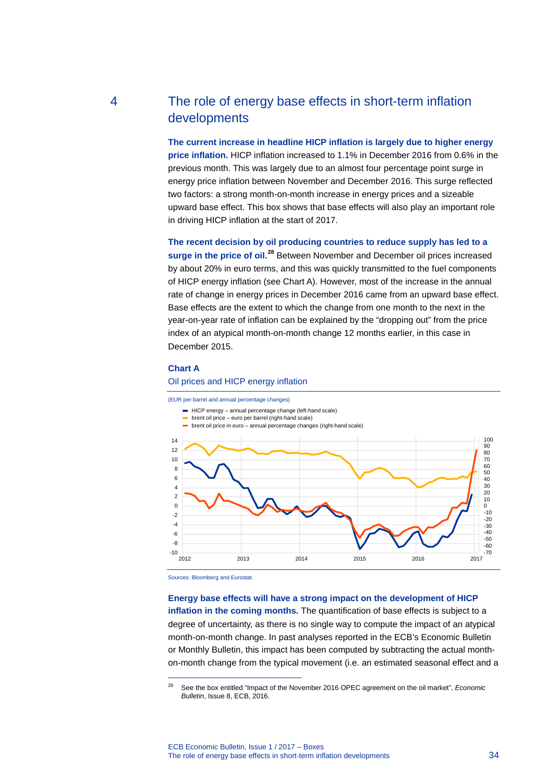# 4 The role of energy base effects in short-term inflation developments

**The current increase in headline HICP inflation is largely due to higher energy price inflation.** HICP inflation increased to 1.1% in December 2016 from 0.6% in the previous month. This was largely due to an almost four percentage point surge in energy price inflation between November and December 2016. This surge reflected two factors: a strong month-on-month increase in energy prices and a sizeable upward base effect. This box shows that base effects will also play an important role in driving HICP inflation at the start of 2017.

**The recent decision by oil producing countries to reduce supply has led to a surge in the price of oil.[28](#page-0-0)** Between November and December oil prices increased by about 20% in euro terms, and this was quickly transmitted to the fuel components of HICP energy inflation (see Chart A). However, most of the increase in the annual rate of change in energy prices in December 2016 came from an upward base effect. Base effects are the extent to which the change from one month to the next in the year-on-year rate of inflation can be explained by the "dropping out" from the price index of an atypical month-on-month change 12 months earlier, in this case in December 2015.

#### **Chart A**

#### Oil prices and HICP energy inflation

(EUR per barrel and annual percentage changes)



Sources: Bloomberg and Eurostat.

-

## **Energy base effects will have a strong impact on the development of HICP inflation in the coming months.** The quantification of base effects is subject to a degree of uncertainty, as there is no single way to compute the impact of an atypical month-on-month change. In past analyses reported in the ECB's Economic Bulletin or Monthly Bulletin, this impact has been computed by subtracting the actual monthon-month change from the typical movement (i.e. an estimated seasonal effect and a

<span id="page-0-0"></span><sup>28</sup> See the box entitled "Impact of the November 2016 OPEC agreement on the oil market", *Economic Bulletin*, Issue 8, ECB, 2016.